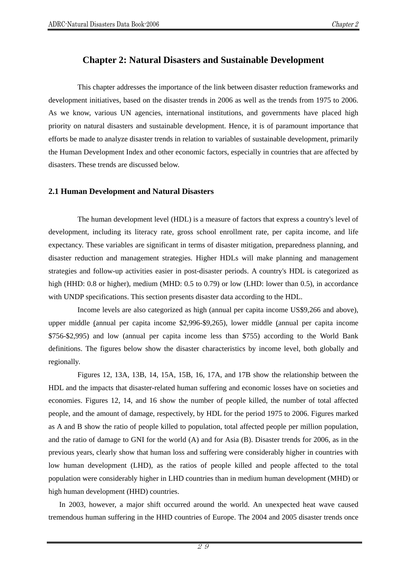# **Chapter 2: Natural Disasters and Sustainable Development**

This chapter addresses the importance of the link between disaster reduction frameworks and development initiatives, based on the disaster trends in 2006 as well as the trends from 1975 to 2006. As we know, various UN agencies, international institutions, and governments have placed high priority on natural disasters and sustainable development. Hence, it is of paramount importance that efforts be made to analyze disaster trends in relation to variables of sustainable development, primarily the Human Development Index and other economic factors, especially in countries that are affected by disasters. These trends are discussed below.

#### **2.1 Human Development and Natural Disasters**

The human development level (HDL) is a measure of factors that express a country's level of development, including its literacy rate, gross school enrollment rate, per capita income, and life expectancy. These variables are significant in terms of disaster mitigation, preparedness planning, and disaster reduction and management strategies. Higher HDLs will make planning and management strategies and follow-up activities easier in post-disaster periods. A country's HDL is categorized as high (HHD: 0.8 or higher), medium (MHD: 0.5 to 0.79) or low (LHD: lower than 0.5), in accordance with UNDP specifications. This section presents disaster data according to the HDL.

Income levels are also categorized as high (annual per capita income US\$9,266 and above), upper middle (annual per capita income \$2,996-\$9,265), lower middle (annual per capita income \$756-\$2,995) and low (annual per capita income less than \$755) according to the World Bank definitions. The figures below show the disaster characteristics by income level, both globally and regionally.

Figures 12, 13A, 13B, 14, 15A, 15B, 16, 17A, and 17B show the relationship between the HDL and the impacts that disaster-related human suffering and economic losses have on societies and economies. Figures 12, 14, and 16 show the number of people killed, the number of total affected people, and the amount of damage, respectively, by HDL for the period 1975 to 2006. Figures marked as A and B show the ratio of people killed to population, total affected people per million population, and the ratio of damage to GNI for the world (A) and for Asia (B). Disaster trends for 2006, as in the previous years, clearly show that human loss and suffering were considerably higher in countries with low human development (LHD), as the ratios of people killed and people affected to the total population were considerably higher in LHD countries than in medium human development (MHD) or high human development (HHD) countries.

In 2003, however, a major shift occurred around the world. An unexpected heat wave caused tremendous human suffering in the HHD countries of Europe. The 2004 and 2005 disaster trends once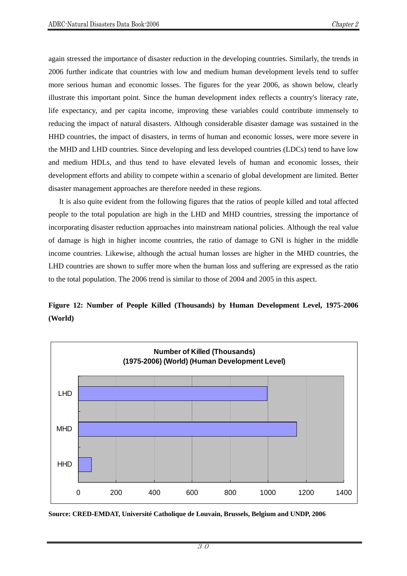again stressed the importance of disaster reduction in the developing countries. Similarly, the trends in 2006 further indicate that countries with low and medium human development levels tend to suffer more serious human and economic losses. The figures for the year 2006, as shown below, clearly illustrate this important point. Since the human development index reflects a country's literacy rate, life expectancy, and per capita income, improving these variables could contribute immensely to reducing the impact of natural disasters. Although considerable disaster damage was sustained in the HHD countries, the impact of disasters, in terms of human and economic losses, were more severe in the MHD and LHD countries. Since developing and less developed countries (LDCs) tend to have low and medium HDLs, and thus tend to have elevated levels of human and economic losses, their development efforts and ability to compete within a scenario of global development are limited. Better disaster management approaches are therefore needed in these regions.

It is also quite evident from the following figures that the ratios of people killed and total affected people to the total population are high in the LHD and MHD countries, stressing the importance of incorporating disaster reduction approaches into mainstream national policies. Although the real value of damage is high in higher income countries, the ratio of damage to GNI is higher in the middle income countries. Likewise, although the actual human losses are higher in the MHD countries, the LHD countries are shown to suffer more when the human loss and suffering are expressed as the ratio to the total population. The 2006 trend is similar to those of 2004 and 2005 in this aspect.

## **Figure 12: Number of People Killed (Thousands) by Human Development Level, 1975-2006 (World)**



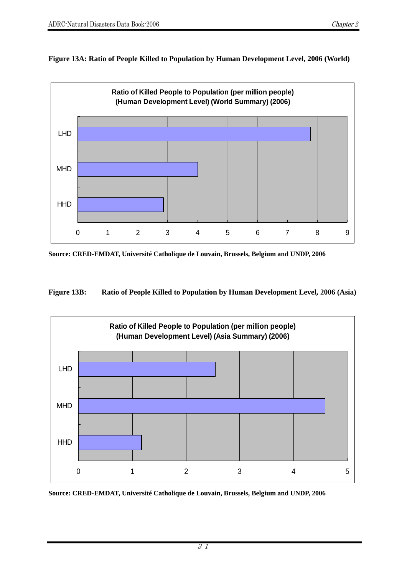**Figure 13A: Ratio of People Killed to Population by Human Development Level, 2006 (World)** 



**Source: CRED-EMDAT, Université Catholique de Louvain, Brussels, Belgium and UNDP, 2006** 

**Figure 13B: Ratio of People Killed to Population by Human Development Level, 2006 (Asia)** 

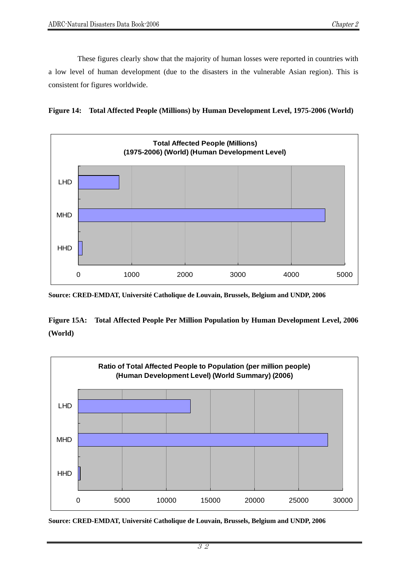These figures clearly show that the majority of human losses were reported in countries with a low level of human development (due to the disasters in the vulnerable Asian region). This is consistent for figures worldwide.





**Source: CRED-EMDAT, Université Catholique de Louvain, Brussels, Belgium and UNDP, 2006** 

**Figure 15A: Total Affected People Per Million Population by Human Development Level, 2006 (World)** 

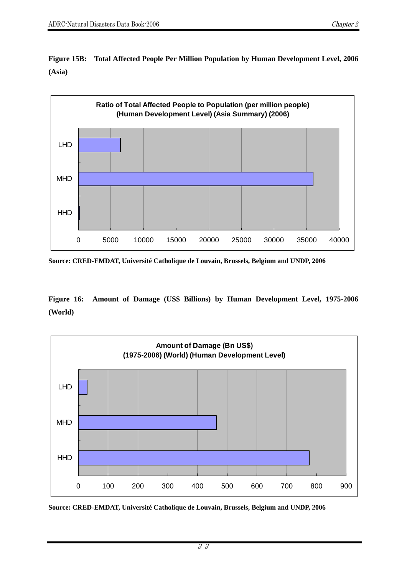

**Figure 15B: Total Affected People Per Million Population by Human Development Level, 2006 (Asia)** 

**Source: CRED-EMDAT, Université Catholique de Louvain, Brussels, Belgium and UNDP, 2006** 

**Figure 16: Amount of Damage (US\$ Billions) by Human Development Level, 1975-2006 (World)** 



**Source: CRED-EMDAT, Université Catholique de Louvain, Brussels, Belgium and UNDP, 2006**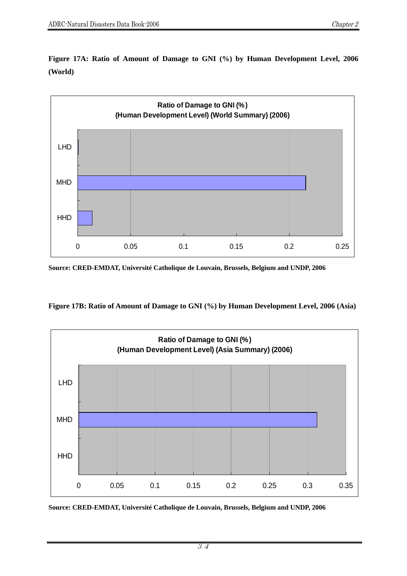

**Figure 17A: Ratio of Amount of Damage to GNI (%) by Human Development Level, 2006 (World)** 

**Source: CRED-EMDAT, Université Catholique de Louvain, Brussels, Belgium and UNDP, 2006** 

**Figure 17B: Ratio of Amount of Damage to GNI (%) by Human Development Level, 2006 (Asia)** 

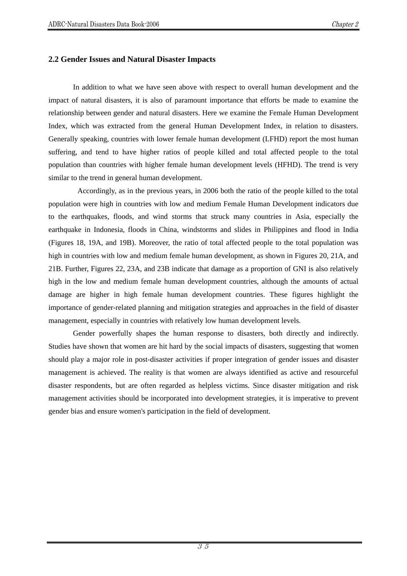## **2.2 Gender Issues and Natural Disaster Impacts**

In addition to what we have seen above with respect to overall human development and the impact of natural disasters, it is also of paramount importance that efforts be made to examine the relationship between gender and natural disasters. Here we examine the Female Human Development Index, which was extracted from the general Human Development Index, in relation to disasters. Generally speaking, countries with lower female human development (LFHD) report the most human suffering, and tend to have higher ratios of people killed and total affected people to the total population than countries with higher female human development levels (HFHD). The trend is very similar to the trend in general human development.

 Accordingly, as in the previous years, in 2006 both the ratio of the people killed to the total population were high in countries with low and medium Female Human Development indicators due to the earthquakes, floods, and wind storms that struck many countries in Asia, especially the earthquake in Indonesia, floods in China, windstorms and slides in Philippines and flood in India (Figures 18, 19A, and 19B). Moreover, the ratio of total affected people to the total population was high in countries with low and medium female human development, as shown in Figures 20, 21A, and 21B. Further, Figures 22, 23A, and 23B indicate that damage as a proportion of GNI is also relatively high in the low and medium female human development countries, although the amounts of actual damage are higher in high female human development countries. These figures highlight the importance of gender-related planning and mitigation strategies and approaches in the field of disaster management, especially in countries with relatively low human development levels.

Gender powerfully shapes the human response to disasters, both directly and indirectly. Studies have shown that women are hit hard by the social impacts of disasters, suggesting that women should play a major role in post-disaster activities if proper integration of gender issues and disaster management is achieved. The reality is that women are always identified as active and resourceful disaster respondents, but are often regarded as helpless victims. Since disaster mitigation and risk management activities should be incorporated into development strategies, it is imperative to prevent gender bias and ensure women's participation in the field of development.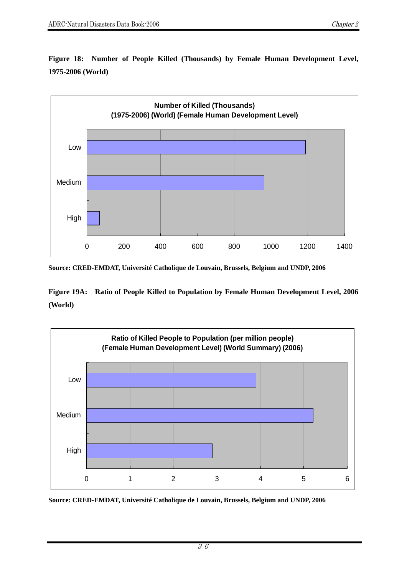**Figure 18: Number of People Killed (Thousands) by Female Human Development Level, 1975-2006 (World)** 



**Source: CRED-EMDAT, Université Catholique de Louvain, Brussels, Belgium and UNDP, 2006** 

**Figure 19A: Ratio of People Killed to Population by Female Human Development Level, 2006 (World)** 

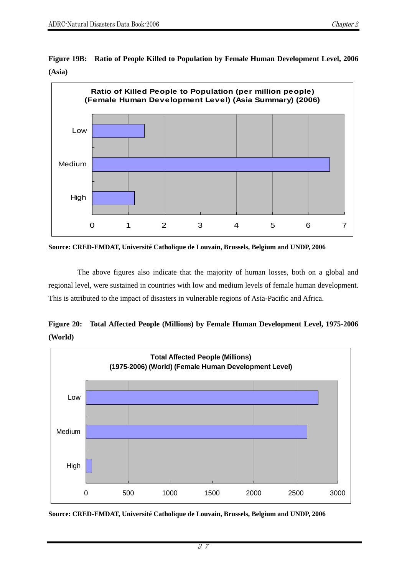**Figure 19B: Ratio of People Killed to Population by Female Human Development Level, 2006 (Asia)** 



**Source: CRED-EMDAT, Université Catholique de Louvain, Brussels, Belgium and UNDP, 2006** 

The above figures also indicate that the majority of human losses, both on a global and regional level, were sustained in countries with low and medium levels of female human development. This is attributed to the impact of disasters in vulnerable regions of Asia-Pacific and Africa.





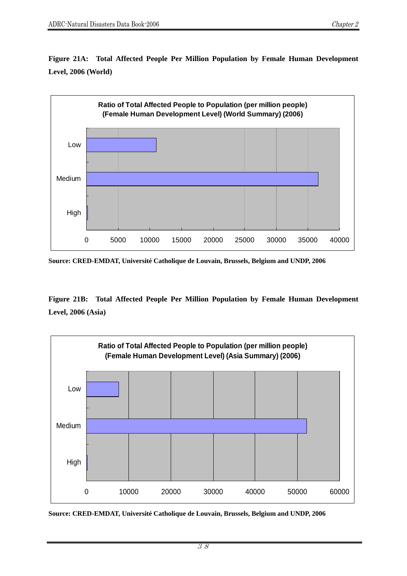**Figure 21A: Total Affected People Per Million Population by Female Human Development Level, 2006 (World)** 



**Source: CRED-EMDAT, Université Catholique de Louvain, Brussels, Belgium and UNDP, 2006** 

**Figure 21B: Total Affected People Per Million Population by Female Human Development Level, 2006 (Asia)** 



**Source: CRED-EMDAT, Université Catholique de Louvain, Brussels, Belgium and UNDP, 2006**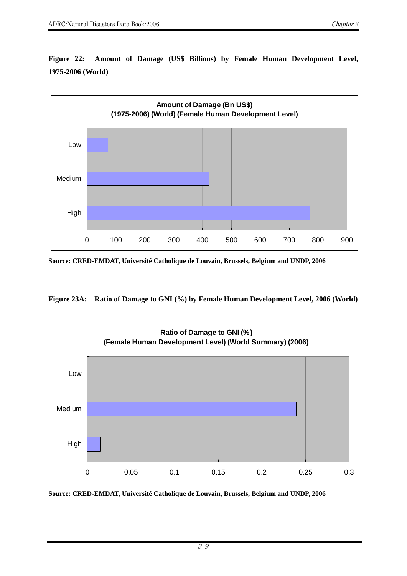**Figure 22: Amount of Damage (US\$ Billions) by Female Human Development Level, 1975-2006 (World)** 



**Source: CRED-EMDAT, Université Catholique de Louvain, Brussels, Belgium and UNDP, 2006** 

**Figure 23A: Ratio of Damage to GNI (%) by Female Human Development Level, 2006 (World)** 

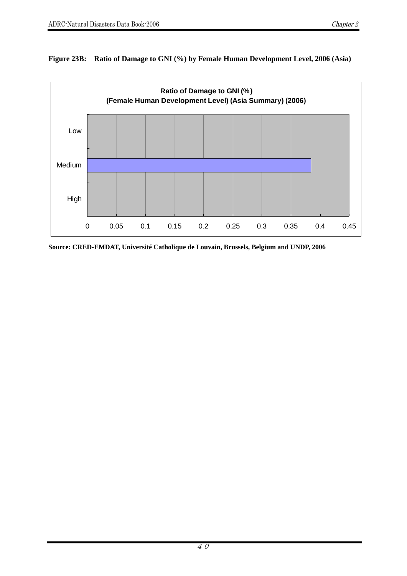

#### **Figure 23B: Ratio of Damage to GNI (%) by Female Human Development Level, 2006 (Asia)**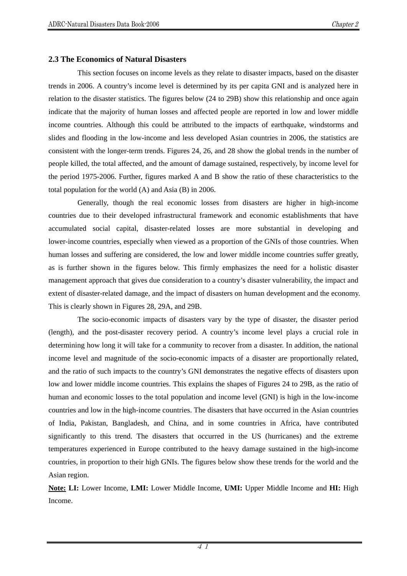#### **2.3 The Economics of Natural Disasters**

This section focuses on income levels as they relate to disaster impacts, based on the disaster trends in 2006. A country's income level is determined by its per capita GNI and is analyzed here in relation to the disaster statistics. The figures below (24 to 29B) show this relationship and once again indicate that the majority of human losses and affected people are reported in low and lower middle income countries. Although this could be attributed to the impacts of earthquake, windstorms and slides and flooding in the low-income and less developed Asian countries in 2006, the statistics are consistent with the longer-term trends. Figures 24, 26, and 28 show the global trends in the number of people killed, the total affected, and the amount of damage sustained, respectively, by income level for the period 1975-2006. Further, figures marked A and B show the ratio of these characteristics to the total population for the world (A) and Asia (B) in 2006.

Generally, though the real economic losses from disasters are higher in high-income countries due to their developed infrastructural framework and economic establishments that have accumulated social capital, disaster-related losses are more substantial in developing and lower-income countries, especially when viewed as a proportion of the GNIs of those countries. When human losses and suffering are considered, the low and lower middle income countries suffer greatly, as is further shown in the figures below. This firmly emphasizes the need for a holistic disaster management approach that gives due consideration to a country's disaster vulnerability, the impact and extent of disaster-related damage, and the impact of disasters on human development and the economy. This is clearly shown in Figures 28, 29A, and 29B.

The socio-economic impacts of disasters vary by the type of disaster, the disaster period (length), and the post-disaster recovery period. A country's income level plays a crucial role in determining how long it will take for a community to recover from a disaster. In addition, the national income level and magnitude of the socio-economic impacts of a disaster are proportionally related, and the ratio of such impacts to the country's GNI demonstrates the negative effects of disasters upon low and lower middle income countries. This explains the shapes of Figures 24 to 29B, as the ratio of human and economic losses to the total population and income level (GNI) is high in the low-income countries and low in the high-income countries. The disasters that have occurred in the Asian countries of India, Pakistan, Bangladesh, and China, and in some countries in Africa, have contributed significantly to this trend. The disasters that occurred in the US (hurricanes) and the extreme temperatures experienced in Europe contributed to the heavy damage sustained in the high-income countries, in proportion to their high GNIs. The figures below show these trends for the world and the Asian region.

**Note: LI:** Lower Income, **LMI:** Lower Middle Income, **UMI:** Upper Middle Income and **HI:** High Income.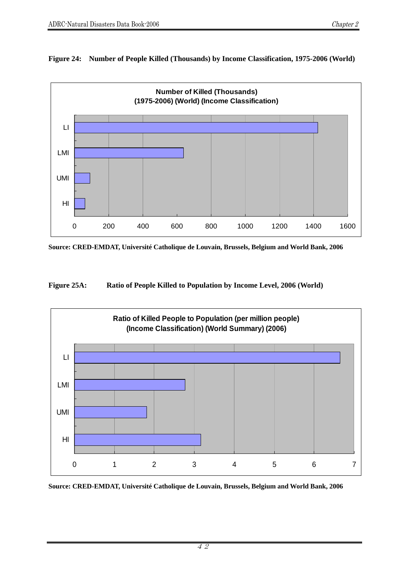## **Figure 24: Number of People Killed (Thousands) by Income Classification, 1975-2006 (World)**



**Source: CRED-EMDAT, Université Catholique de Louvain, Brussels, Belgium and World Bank, 2006** 

**Figure 25A: Ratio of People Killed to Population by Income Level, 2006 (World)** 

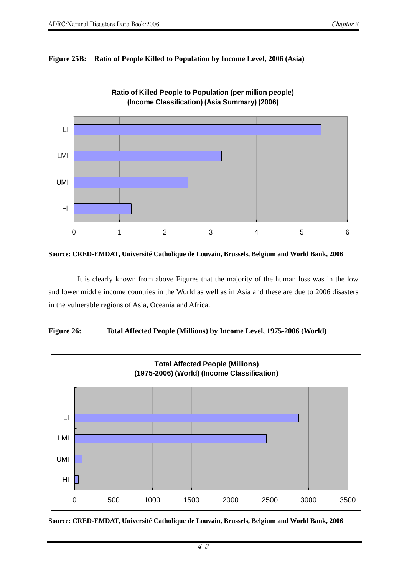#### **Figure 25B: Ratio of People Killed to Population by Income Level, 2006 (Asia)**



**Source: CRED-EMDAT, Université Catholique de Louvain, Brussels, Belgium and World Bank, 2006** 

It is clearly known from above Figures that the majority of the human loss was in the low and lower middle income countries in the World as well as in Asia and these are due to 2006 disasters in the vulnerable regions of Asia, Oceania and Africa.



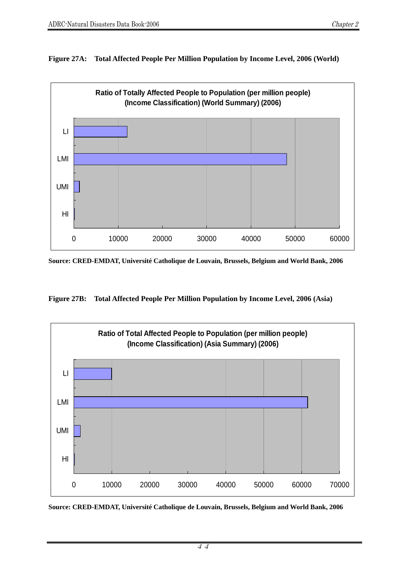



**Source: CRED-EMDAT, Université Catholique de Louvain, Brussels, Belgium and World Bank, 2006** 

**Figure 27B: Total Affected People Per Million Population by Income Level, 2006 (Asia)** 



**Source: CRED-EMDAT, Université Catholique de Louvain, Brussels, Belgium and World Bank, 2006**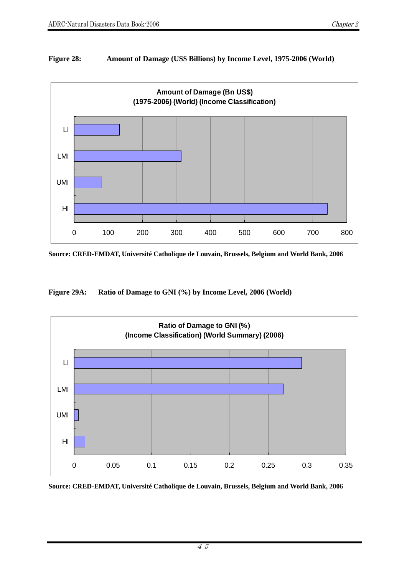## **Figure 28: Amount of Damage (US\$ Billions) by Income Level, 1975-2006 (World)**



**Source: CRED-EMDAT, Université Catholique de Louvain, Brussels, Belgium and World Bank, 2006** 

**Figure 29A: Ratio of Damage to GNI (%) by Income Level, 2006 (World)**

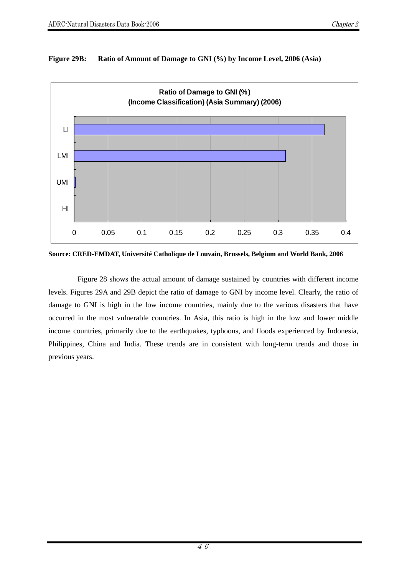

#### **Figure 29B: Ratio of Amount of Damage to GNI (%) by Income Level, 2006 (Asia)**

**Source: CRED-EMDAT, Université Catholique de Louvain, Brussels, Belgium and World Bank, 2006** 

Figure 28 shows the actual amount of damage sustained by countries with different income levels. Figures 29A and 29B depict the ratio of damage to GNI by income level. Clearly, the ratio of damage to GNI is high in the low income countries, mainly due to the various disasters that have occurred in the most vulnerable countries. In Asia, this ratio is high in the low and lower middle income countries, primarily due to the earthquakes, typhoons, and floods experienced by Indonesia, Philippines, China and India. These trends are in consistent with long-term trends and those in previous years.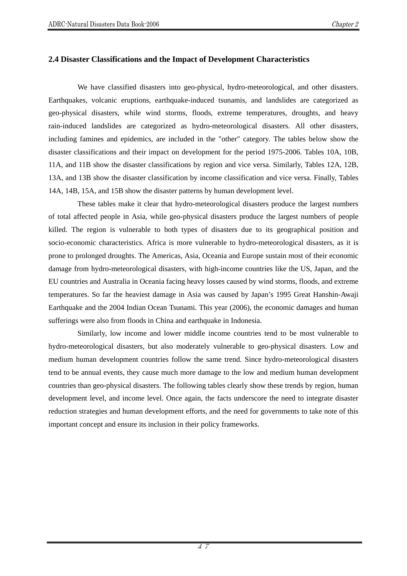## **2.4 Disaster Classifications and the Impact of Development Characteristics**

We have classified disasters into geo-physical, hydro-meteorological, and other disasters. Earthquakes, volcanic eruptions, earthquake-induced tsunamis, and landslides are categorized as geo-physical disasters, while wind storms, floods, extreme temperatures, droughts, and heavy rain-induced landslides are categorized as hydro-meteorological disasters. All other disasters, including famines and epidemics, are included in the "other" category. The tables below show the disaster classifications and their impact on development for the period 1975-2006. Tables 10A, 10B, 11A, and 11B show the disaster classifications by region and vice versa. Similarly, Tables 12A, 12B, 13A, and 13B show the disaster classification by income classification and vice versa. Finally, Tables 14A, 14B, 15A, and 15B show the disaster patterns by human development level.

These tables make it clear that hydro-meteorological disasters produce the largest numbers of total affected people in Asia, while geo-physical disasters produce the largest numbers of people killed. The region is vulnerable to both types of disasters due to its geographical position and socio-economic characteristics. Africa is more vulnerable to hydro-meteorological disasters, as it is prone to prolonged droughts. The Americas, Asia, Oceania and Europe sustain most of their economic damage from hydro-meteorological disasters, with high-income countries like the US, Japan, and the EU countries and Australia in Oceania facing heavy losses caused by wind storms, floods, and extreme temperatures. So far the heaviest damage in Asia was caused by Japan's 1995 Great Hanshin-Awaji Earthquake and the 2004 Indian Ocean Tsunami. This year (2006), the economic damages and human sufferings were also from floods in China and earthquake in Indonesia.

Similarly, low income and lower middle income countries tend to be most vulnerable to hydro-meteorological disasters, but also moderately vulnerable to geo-physical disasters. Low and medium human development countries follow the same trend. Since hydro-meteorological disasters tend to be annual events, they cause much more damage to the low and medium human development countries than geo-physical disasters. The following tables clearly show these trends by region, human development level, and income level. Once again, the facts underscore the need to integrate disaster reduction strategies and human development efforts, and the need for governments to take note of this important concept and ensure its inclusion in their policy frameworks.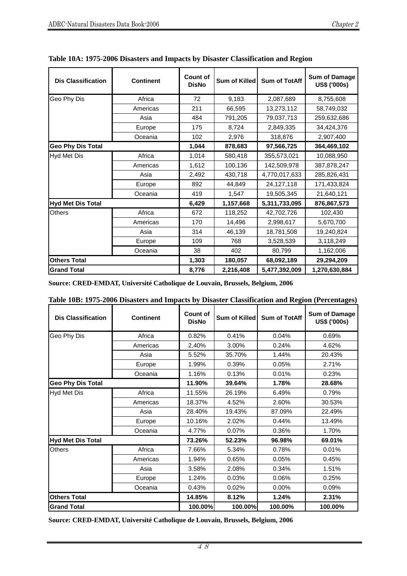| <b>Continent</b><br><b>Dis Classification</b> |          | <b>Count of</b><br><b>DisNo</b> | Sum of Killed | <b>Sum of TotAff</b> | <b>Sum of Damage</b><br>US\$ ('000s) |
|-----------------------------------------------|----------|---------------------------------|---------------|----------------------|--------------------------------------|
| Geo Phy Dis                                   | Africa   | 72                              | 9,183         | 2,087,689            | 8,755,608                            |
|                                               | Americas | 211                             | 66,595        | 13,273,112           | 58,749,032                           |
|                                               | Asia     | 484                             | 791,205       | 79,037,713           | 259,632,686                          |
|                                               | Europe   | 175                             | 8,724         | 2,849,335            | 34,424,376                           |
|                                               | Oceania  | 102                             | 2,976         | 318,876              | 2,907,400                            |
| Geo Phy Dis Total                             |          |                                 | 878,683       | 97,566,725           | 364,469,102                          |
| Hyd Met Dis                                   | Africa   | 1,014                           | 580,418       | 355,573,021          | 10,088,950                           |
|                                               | Americas | 1,612                           | 100,136       | 142,509,978          | 387,878,247                          |
|                                               | Asia     | 2,492                           | 430,718       | 4,770,017,633        | 285,826,431                          |
|                                               | Europe   | 892                             | 44,849        | 24,127,118           | 171,433,824                          |
|                                               | Oceania  | 419                             | 1,547         | 19,505,345           | 21,640,121                           |
| <b>Hyd Met Dis Total</b>                      |          | 6,429                           | 1,157,668     | 5,311,733,095        | 876,867,573                          |
| <b>Others</b>                                 | Africa   | 672                             | 118,252       | 42,702,726           | 102,430                              |
|                                               | Americas | 170                             | 14,496        | 2,998,617            | 5,670,700                            |
|                                               | Asia     | 314                             | 46,139        | 18,781,508           | 19,240,824                           |
|                                               | Europe   | 109                             | 768           | 3,528,539            | 3,118,249                            |
|                                               | Oceania  | 38                              | 402           | 80,799               | 1,162,006                            |
| <b>Others Total</b>                           |          | 1,303                           | 180,057       | 68,092,189           | 29,294,209                           |
| <b>Grand Total</b>                            |          | 8,776                           | 2,216,408     | 5,477,392,009        | 1,270,630,884                        |

## **Table 10A: 1975-2006 Disasters and Impacts by Disaster Classification and Region**

**Source: CRED-EMDAT, Université Catholique de Louvain, Brussels, Belgium, 2006**

| <b>Dis Classification</b><br><b>Continent</b> |          | <b>Count of</b><br><b>DisNo</b> | Sum of Killed | <b>Sum of TotAff</b> | <b>Sum of Damage</b><br>US\$ ('000s) |
|-----------------------------------------------|----------|---------------------------------|---------------|----------------------|--------------------------------------|
| Geo Phy Dis                                   | Africa   | 0.82%                           | 0.41%         | 0.04%                | 0.69%                                |
|                                               | Americas | 2.40%                           | 3.00%         | 0.24%                | 4.62%                                |
|                                               | Asia     | 5.52%                           | 35.70%        | 1.44%                | 20.43%                               |
|                                               | Europe   | 1.99%                           | 0.39%         | 0.05%                | 2.71%                                |
|                                               | Oceania  | 1.16%                           | 0.13%         | 0.01%                | 0.23%                                |
| <b>Geo Phy Dis Total</b>                      |          |                                 |               | 1.78%                | 28.68%                               |
| <b>Hyd Met Dis</b>                            | Africa   | 11.55%                          | 26.19%        | 6.49%                | 0.79%                                |
|                                               | Americas | 18.37%                          | 4.52%         | 2.60%                | 30.53%                               |
|                                               | Asia     | 28.40%                          | 19.43%        | 87.09%               | 22.49%                               |
|                                               | Europe   | 10.16%                          | 2.02%         | 0.44%                | 13.49%                               |
|                                               | Oceania  | 4.77%                           | 0.07%         | 0.36%                | 1.70%                                |
| <b>Hyd Met Dis Total</b>                      |          | 73.26%                          | 52.23%        | 96.98%               | 69.01%                               |
| <b>Others</b>                                 | Africa   | 7.66%                           | 5.34%         | 0.78%                | 0.01%                                |
|                                               | Americas | 1.94%                           | 0.65%         | 0.05%                | 0.45%                                |
|                                               | Asia     | 3.58%                           | 2.08%         | 0.34%                | 1.51%                                |
|                                               | Europe   | 1.24%                           | 0.03%         | 0.06%                | 0.25%                                |
|                                               | Oceania  | 0.43%                           | 0.02%         | $0.00\%$             | 0.09%                                |
| <b>Others Total</b>                           |          | 14.85%                          | 8.12%         | 1.24%                | 2.31%                                |
| <b>Grand Total</b>                            |          | 100.00%                         | 100.00%       | 100.00%              | 100.00%                              |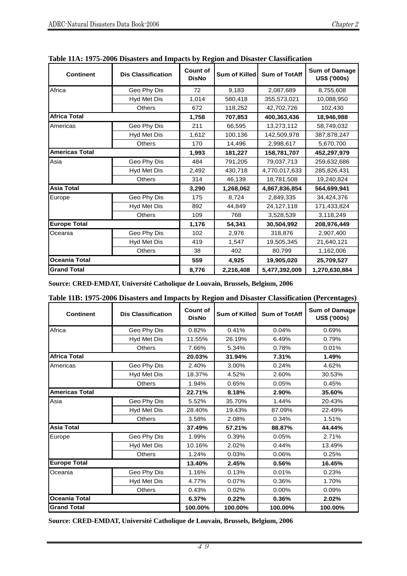| <b>Continent</b><br><b>Dis Classification</b> |                    | <b>Count of</b><br><b>DisNo</b> | <b>Sum of Killed</b> | <b>Sum of TotAff</b> | <b>Sum of Damage</b><br>US\$ ('000s) |
|-----------------------------------------------|--------------------|---------------------------------|----------------------|----------------------|--------------------------------------|
| Africa                                        | Geo Phy Dis        | 72                              | 9,183                | 2,087,689            | 8,755,608                            |
|                                               | <b>Hyd Met Dis</b> | 1,014                           | 580,418              | 355,573,021          | 10,088,950                           |
|                                               | <b>Others</b>      | 672                             | 118,252              | 42,702,726           | 102,430                              |
| <b>Africa Total</b>                           |                    | 1,758                           | 707,853              | 400,363,436          | 18,946,988                           |
| Americas                                      | Geo Phy Dis        | 211                             | 66,595               | 13,273,112           | 58,749,032                           |
|                                               | Hyd Met Dis        | 1,612                           | 100,136              | 142,509,978          | 387,878,247                          |
|                                               | <b>Others</b>      | 170                             | 14,496               | 2,998,617            | 5,670,700                            |
| <b>Americas Total</b>                         |                    | 1,993                           | 181,227              | 158,781,707          | 452,297,979                          |
| Asia                                          | Geo Phy Dis        | 484                             | 791,205              | 79,037,713           | 259,632,686                          |
|                                               | <b>Hyd Met Dis</b> | 2,492                           | 430,718              | 4,770,017,633        | 285,826,431                          |
|                                               | <b>Others</b>      | 314                             | 46,139               | 18,781,508           | 19,240,824                           |
| <b>Asia Total</b>                             |                    | 3,290                           | 1,268,062            | 4,867,836,854        | 564,699,941                          |
| Europe                                        | Geo Phy Dis        | 175                             | 8,724                | 2.849.335            | 34.424.376                           |
|                                               | Hyd Met Dis        | 892                             | 44,849               | 24,127,118           | 171,433,824                          |
|                                               | <b>Others</b>      | 109                             | 768                  | 3,528,539            | 3,118,249                            |
| <b>Europe Total</b>                           |                    | 1,176                           | 54,341               | 30,504,992           | 208,976,449                          |
| Oceania                                       | Geo Phy Dis        | 102                             | 2,976                | 318,876              | 2,907,400                            |
|                                               | Hyd Met Dis        | 419                             | 1,547                | 19,505,345           | 21,640,121                           |
|                                               | <b>Others</b>      | 38                              | 402                  | 80,799               | 1,162,006                            |
| Oceania Total                                 |                    | 559                             | 4,925                | 19,905,020           | 25,709,527                           |
| <b>Grand Total</b>                            |                    | 8,776                           | 2,216,408            | 5,477,392,009        | 1,270,630,884                        |

**Table 11A: 1975-2006 Disasters and Impacts by Region and Disaster Classification** 

**Source: CRED-EMDAT, Université Catholique de Louvain, Brussels, Belgium, 2006**

| Table 11B: 1975-2006 Disasters and Impacts by Region and Disaster Classification (Percentages) |  |  |  |  |
|------------------------------------------------------------------------------------------------|--|--|--|--|
|------------------------------------------------------------------------------------------------|--|--|--|--|

| <b>Continent</b>      | <b>Count of</b><br><b>DisNo</b> | Sum of Killed | <b>Sum of TotAff</b> | <b>Sum of Damage</b><br><b>US\$ ('000s)</b> |         |
|-----------------------|---------------------------------|---------------|----------------------|---------------------------------------------|---------|
| Africa                | Geo Phy Dis                     | 0.82%         | 0.41%                | 0.04%                                       | 0.69%   |
|                       | Hyd Met Dis                     | 11.55%        | 26.19%               | 6.49%                                       | 0.79%   |
|                       | Others                          | 7.66%         | 5.34%                | 0.78%                                       | 0.01%   |
| <b>Africa Total</b>   |                                 | 20.03%        | 31.94%               | 7.31%                                       | 1.49%   |
| Americas              | Geo Phy Dis                     | 2.40%         | 3.00%                | 0.24%                                       | 4.62%   |
|                       | Hyd Met Dis                     | 18.37%        | 4.52%                | 2.60%                                       | 30.53%  |
|                       | <b>Others</b>                   | 1.94%         | 0.65%                | 0.05%                                       | 0.45%   |
| <b>Americas Total</b> |                                 |               |                      | 2.90%                                       | 35.60%  |
| Asia                  | Geo Phy Dis                     | 5.52%         | 35.70%               | 1.44%                                       | 20.43%  |
|                       | Hyd Met Dis                     | 28.40%        | 19.43%               | 87.09%                                      | 22.49%  |
|                       | Others                          | 3.58%         | 2.08%                | 0.34%                                       | 1.51%   |
| <b>Asia Total</b>     |                                 | 37.49%        | 57.21%               | 88.87%                                      | 44.44%  |
| Europe                | Geo Phy Dis                     | 1.99%         | 0.39%                | 0.05%                                       | 2.71%   |
|                       | Hyd Met Dis                     | 10.16%        | 2.02%                | 0.44%                                       | 13.49%  |
|                       | <b>Others</b>                   | 1.24%         | 0.03%                | 0.06%                                       | 0.25%   |
| <b>Europe Total</b>   |                                 | 13.40%        | 2.45%                | 0.56%                                       | 16.45%  |
| Oceania               | Geo Phy Dis                     | 1.16%         | 0.13%                | 0.01%                                       | 0.23%   |
|                       | Hyd Met Dis                     | 4.77%         | 0.07%                | 0.36%                                       | 1.70%   |
|                       | <b>Others</b>                   | 0.43%         | 0.02%                | 0.00%                                       | 0.09%   |
| <b>Oceania Total</b>  |                                 | 6.37%         | 0.22%                | 0.36%                                       | 2.02%   |
| <b>Grand Total</b>    |                                 | 100.00%       | 100.00%              | 100.00%                                     | 100.00% |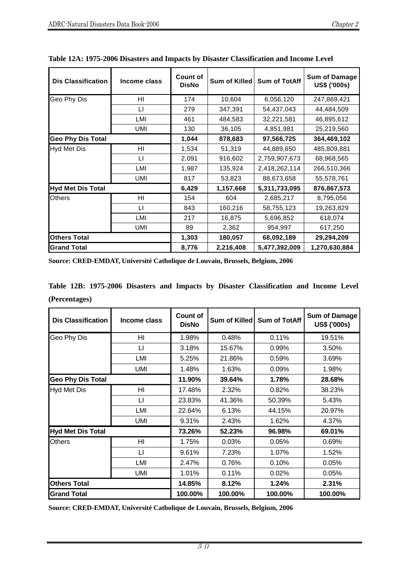| Income class<br><b>Dis Classification</b> |                         | Count of<br><b>DisNo</b> | Sum of Killed | <b>Sum of TotAff</b> | <b>Sum of Damage</b><br><b>US\$ ('000s)</b> |
|-------------------------------------------|-------------------------|--------------------------|---------------|----------------------|---------------------------------------------|
| Geo Phy Dis                               | HI                      | 174                      | 10,604        | 6,056,120            | 247,869,421                                 |
|                                           | LI                      | 279                      | 347,391       | 54,437,043           | 44,484,509                                  |
|                                           | LMI                     | 461                      | 484,583       | 32,221,581           | 46,895,612                                  |
|                                           | UMI                     | 130                      | 36,105        | 4,851,981            | 25,219,560                                  |
| <b>Geo Phy Dis Total</b>                  |                         | 1,044                    | 878,683       | 97,566,725           | 364,469,102                                 |
| Hyd Met Dis                               | ΗI                      | 1,534                    | 51,319        | 44,889,650           | 485,809,881                                 |
|                                           | $\lfloor \cdot \rfloor$ | 2,091                    | 916,602       | 2,759,907,673        | 68,968,565                                  |
|                                           | LMI                     | 1,987                    | 135,924       | 2,418,262,114        | 266,510,366                                 |
|                                           | UMI                     | 817                      | 53,823        | 88,673,658           | 55,578,761                                  |
| <b>Hyd Met Dis Total</b>                  |                         | 6,429                    | 1,157,668     | 5,311,733,095        | 876,867,573                                 |
| Others                                    | HI                      | 154                      | 604           | 2,685,217            | 8,795,056                                   |
|                                           | LI                      | 843                      | 160,216       | 58,755,123           | 19,263,829                                  |
|                                           | LMI                     | 217                      | 16,875        | 5,696,852            | 618,074                                     |
|                                           | UMI                     | 89                       | 2,362         | 954,997              | 617,250                                     |
| <b>Others Total</b>                       |                         | 1,303                    | 180,057       | 68,092,189           | 29,294,209                                  |
| <b>Grand Total</b>                        |                         | 8,776                    | 2,216,408     | 5,477,392,009        | 1,270,630,884                               |

**Table 12A: 1975-2006 Disasters and Impacts by Disaster Classification and Income Level** 

**Source: CRED-EMDAT, Université Catholique de Louvain, Brussels, Belgium, 2006**

**Table 12B: 1975-2006 Disasters and Impacts by Disaster Classification and Income Level (Percentages)** 

| <b>Dis Classification</b> | Income class | <b>Count of</b><br><b>DisNo</b> | Sum of Killed | <b>Sum of TotAff</b> | <b>Sum of Damage</b><br>US\$ ('000s) |
|---------------------------|--------------|---------------------------------|---------------|----------------------|--------------------------------------|
| Geo Phy Dis               | HI           | 1.98%                           | 0.48%         | 0.11%                | 19.51%                               |
|                           | $\sqcup$     | 3.18%                           | 15.67%        | 0.99%                | 3.50%                                |
|                           | LMI          | 5.25%                           | 21.86%        | 0.59%                | 3.69%                                |
|                           | <b>UMI</b>   | 1.48%                           | 1.63%         | 0.09%                | 1.98%                                |
| <b>Geo Phy Dis Total</b>  |              | 11.90%                          | 39.64%        | 1.78%                | 28.68%                               |
| Hyd Met Dis               | HI           | 17.48%                          | 2.32%         | 0.82%                | 38.23%                               |
|                           | $\sqcup$     | 23.83%                          | 41.36%        | 50.39%               | 5.43%                                |
|                           | LMI          | 22.64%                          | 6.13%         | 44.15%               | 20.97%                               |
|                           | <b>UMI</b>   | 9.31%                           | 2.43%         | 1.62%                | 4.37%                                |
| <b>Hyd Met Dis Total</b>  |              | 73.26%                          | 52.23%        | 96.98%               | 69.01%                               |
| <b>Others</b>             | HI           | 1.75%                           | 0.03%         | 0.05%                | 0.69%                                |
|                           | $\sqcup$     | 9.61%                           | 7.23%         | 1.07%                | 1.52%                                |
|                           | LMI          | 2.47%                           | 0.76%         | 0.10%                | 0.05%                                |
|                           | UMI          | 1.01%                           | 0.11%         | 0.02%                | 0.05%                                |
| <b>Others Total</b>       |              | 14.85%                          | 8.12%         | 1.24%                | 2.31%                                |
| <b>Grand Total</b>        |              | 100.00%                         | 100.00%       | 100.00%              | 100.00%                              |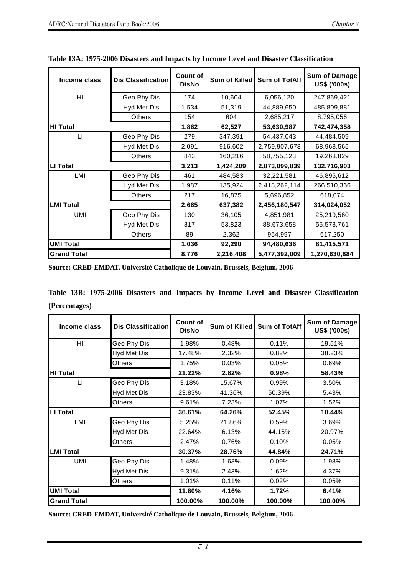| <b>Dis Classification</b><br>Income class |                    | Count of<br><b>DisNo</b> | Sum of Killed | <b>Sum of TotAff</b> | <b>Sum of Damage</b><br><b>US\$ ('000s)</b> |
|-------------------------------------------|--------------------|--------------------------|---------------|----------------------|---------------------------------------------|
| HI                                        | Geo Phy Dis        | 174                      | 10,604        | 6,056,120            | 247,869,421                                 |
|                                           | Hyd Met Dis        | 1,534                    | 51,319        | 44,889,650           | 485,809,881                                 |
|                                           | <b>Others</b>      | 154                      | 604           | 2,685,217            | 8,795,056                                   |
| <b>HI Total</b>                           |                    | 1,862                    | 62,527        | 53,630,987           | 742,474,358                                 |
| $\lfloor \cdot \rfloor$                   | Geo Phy Dis        | 279                      | 347,391       | 54,437,043           | 44,484,509                                  |
|                                           | <b>Hyd Met Dis</b> | 2,091                    | 916,602       | 2,759,907,673        | 68,968,565                                  |
|                                           | <b>Others</b>      | 843                      | 160,216       | 58,755,123           | 19,263,829                                  |
| <b>LI Total</b>                           |                    |                          | 1,424,209     | 2,873,099,839        | 132,716,903                                 |
| LMI                                       | Geo Phy Dis        | 461                      | 484,583       | 32,221,581           | 46,895,612                                  |
|                                           | Hyd Met Dis        | 1,987                    | 135,924       | 2,418,262,114        | 266,510,366                                 |
|                                           | Others             | 217                      | 16,875        | 5,696,852            | 618,074                                     |
| <b>LMI Total</b>                          |                    | 2,665                    | 637,382       | 2,456,180,547        | 314,024,052                                 |
| <b>UMI</b>                                | Geo Phy Dis        | 130                      | 36,105        | 4,851,981            | 25,219,560                                  |
|                                           | Hyd Met Dis        | 817                      | 53,823        | 88,673,658           | 55,578,761                                  |
|                                           | <b>Others</b>      | 89                       | 2,362         | 954,997              | 617,250                                     |
| <b>UMI Total</b>                          |                    | 1,036                    | 92,290        | 94,480,636           | 81,415,571                                  |
| <b>Grand Total</b>                        |                    | 8,776                    | 2,216,408     | 5,477,392,009        | 1,270,630,884                               |

|  |  | Table 13A: 1975-2006 Disasters and Impacts by Income Level and Disaster Classification |  |  |  |  |  |
|--|--|----------------------------------------------------------------------------------------|--|--|--|--|--|
|  |  |                                                                                        |  |  |  |  |  |

**Source: CRED-EMDAT, Université Catholique de Louvain, Brussels, Belgium, 2006**

**Table 13B: 1975-2006 Disasters and Impacts by Income Level and Disaster Classification (Percentages)** 

| Income class       | <b>Dis Classification</b> |         | Sum of Killed | <b>Sum of TotAff</b> | <b>Sum of Damage</b><br>US\$ ('000s) |
|--------------------|---------------------------|---------|---------------|----------------------|--------------------------------------|
| HI                 | Geo Phy Dis               | 1.98%   | 0.48%         | 0.11%                | 19.51%                               |
|                    | <b>Hyd Met Dis</b>        | 17.48%  | 2.32%         | 0.82%                | 38.23%                               |
|                    | <b>Others</b>             | 1.75%   | 0.03%         | 0.05%                | 0.69%                                |
| <b>HI Total</b>    |                           | 21.22%  | 2.82%         | 0.98%                | 58.43%                               |
| $\mathsf{L}$       | Geo Phy Dis               | 3.18%   | 15.67%        | 0.99%                | 3.50%                                |
|                    | <b>Hyd Met Dis</b>        | 23.83%  | 41.36%        | 50.39%               | 5.43%                                |
|                    | <b>Others</b>             | 9.61%   | 7.23%         | 1.07%                | 1.52%                                |
| LI Total           |                           |         | 64.26%        | 52.45%               | 10.44%                               |
| LMI                | Geo Phy Dis               | 5.25%   | 21.86%        | 0.59%                | 3.69%                                |
|                    | <b>Hyd Met Dis</b>        | 22.64%  | 6.13%         | 44.15%               | 20.97%                               |
|                    | <b>Others</b>             | 2.47%   | 0.76%         | 0.10%                | 0.05%                                |
| <b>LMI Total</b>   |                           | 30.37%  | 28.76%        | 44.84%               | 24.71%                               |
| UMI                | Geo Phy Dis               | 1.48%   | 1.63%         | 0.09%                | 1.98%                                |
|                    | <b>Hyd Met Dis</b>        | 9.31%   | 2.43%         | 1.62%                | 4.37%                                |
|                    | <b>Others</b>             | 1.01%   | 0.11%         | 0.02%                | 0.05%                                |
| <b>UMI Total</b>   |                           | 11.80%  | 4.16%         | 1.72%                | 6.41%                                |
| <b>Grand Total</b> |                           | 100.00% | 100.00%       | 100.00%              | 100.00%                              |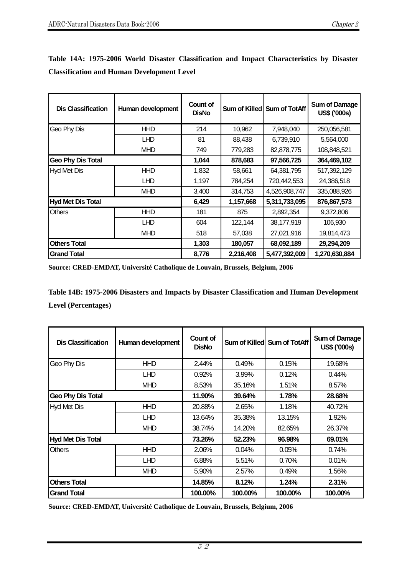| <b>Dis Classification</b><br>Human development |            | Count of<br><b>DisNo</b> |           | Sum of Killed Sum of TotAff | <b>Sum of Damage</b><br>US\$ ('000s) |
|------------------------------------------------|------------|--------------------------|-----------|-----------------------------|--------------------------------------|
| Geo Phy Dis                                    | <b>HHD</b> | 214                      | 10,962    | 7,948,040                   | 250,056,581                          |
|                                                | <b>LHD</b> | 81                       | 88,438    | 6,739,910                   | 5,564,000                            |
|                                                | <b>MHD</b> | 749                      | 779,283   | 82,878,775                  | 108,848,521                          |
| <b>Geo Phy Dis Total</b>                       |            | 1,044                    | 878,683   | 97,566,725                  | 364,469,102                          |
| <b>Hyd Met Dis</b>                             | <b>HHD</b> | 1,832                    | 58,661    | 64,381,795                  | 517,392,129                          |
|                                                | <b>LHD</b> | 1,197                    | 784,254   | 720,442,553                 | 24,386,518                           |
|                                                | <b>MHD</b> | 3,400                    | 314,753   | 4,526,908,747               | 335,088,926                          |
| <b>Hyd Met Dis Total</b>                       |            | 6,429                    | 1,157,668 | 5,311,733,095               | 876,867,573                          |
| <b>Others</b>                                  | <b>HHD</b> | 181                      | 875       | 2,892,354                   | 9,372,806                            |
|                                                | <b>LHD</b> | 604                      | 122,144   | 38,177,919                  | 106,930                              |
|                                                | <b>MHD</b> | 518                      | 57,038    | 27,021,916                  | 19,814,473                           |
| <b>Others Total</b>                            |            | 1,303                    | 180,057   | 68,092,189                  | 29,294,209                           |
| <b>Grand Total</b>                             |            | 8,776                    | 2,216,408 | 5,477,392,009               | 1,270,630,884                        |

**Table 14A: 1975-2006 World Disaster Classification and Impact Characteristics by Disaster Classification and Human Development Level** 

**Source: CRED-EMDAT, Université Catholique de Louvain, Brussels, Belgium, 2006**

**Table 14B: 1975-2006 Disasters and Impacts by Disaster Classification and Human Development Level (Percentages)** 

| <b>Dis Classification</b> | Human development | Count of<br><b>DisNo</b> |         | Sum of Killed Sum of TotAff | <b>Sum of Damage</b><br>US\$ ('000s) |
|---------------------------|-------------------|--------------------------|---------|-----------------------------|--------------------------------------|
| Geo Phy Dis               | <b>HHD</b>        | 2.44%                    | 0.49%   | 0.15%                       | 19.68%                               |
|                           | <b>LHD</b>        | 0.92%                    | 3.99%   | 0.12%                       | 0.44%                                |
|                           | <b>MHD</b>        | 8.53%                    | 35.16%  | 1.51%                       | 8.57%                                |
| <b>Geo Phy Dis Total</b>  |                   | 11.90%                   | 39.64%  | 1.78%                       | 28.68%                               |
| <b>Hyd Met Dis</b>        | <b>HHD</b>        | 20.88%                   | 2.65%   | 1.18%                       | 40.72%                               |
|                           | <b>LHD</b>        | 13.64%                   | 35.38%  | 13.15%                      | 1.92%                                |
|                           | <b>MHD</b>        | 38.74%                   | 14.20%  | 82.65%                      | 26.37%                               |
| Hyd Met Dis Total         |                   | 73.26%                   | 52.23%  | 96.98%                      | 69.01%                               |
| <b>Others</b>             | <b>HHD</b>        | 2.06%                    | 0.04%   | 0.05%                       | 0.74%                                |
|                           | <b>LHD</b>        | 6.88%                    | 5.51%   | 0.70%                       | 0.01%                                |
|                           | <b>MHD</b>        | 5.90%                    | 2.57%   | 0.49%                       | 1.56%                                |
| <b>Others Total</b>       |                   | 14.85%                   | 8.12%   | 1.24%                       | 2.31%                                |
| <b>Grand Total</b>        |                   | 100.00%                  | 100.00% | 100.00%                     | 100.00%                              |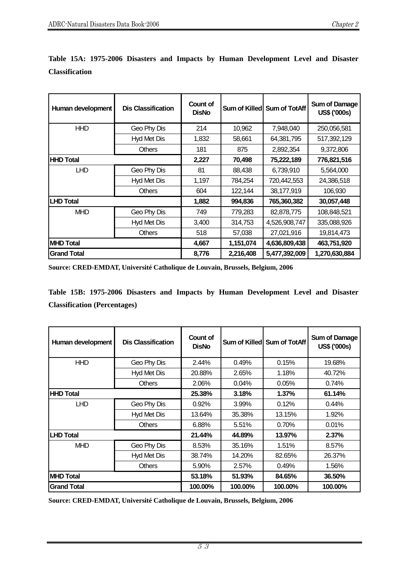| Human development  | <b>Dis Classification</b> | Count of<br><b>DisNo</b> |           | Sum of Killed Sum of TotAff | <b>Sum of Damage</b><br>US\$ ('000s) |
|--------------------|---------------------------|--------------------------|-----------|-----------------------------|--------------------------------------|
| <b>HHD</b>         | Geo Phy Dis               | 214                      | 10,962    | 7,948,040                   | 250,056,581                          |
|                    | Hyd Met Dis               | 1,832                    | 58,661    | 64,381,795                  | 517,392,129                          |
|                    | <b>Others</b>             | 181                      | 875       | 2,892,354                   | 9,372,806                            |
| <b>HHD Total</b>   |                           | 2,227                    | 70,498    | 75,222,189                  | 776,821,516                          |
| <b>LHD</b>         | Geo Phy Dis               | 81                       | 88,438    | 6,739,910                   | 5,564,000                            |
|                    | Hyd Met Dis               | 1,197                    | 784,254   | 720,442,553                 | 24,386,518                           |
|                    | <b>Others</b>             | 604                      | 122,144   | 38,177,919                  | 106,930                              |
| <b>LHD Total</b>   |                           | 1,882                    | 994,836   | 765,360,382                 | 30,057,448                           |
| <b>MHD</b>         | Geo Phy Dis               | 749                      | 779,283   | 82,878,775                  | 108,848,521                          |
|                    | Hyd Met Dis               | 3,400                    | 314,753   | 4,526,908,747               | 335,088,926                          |
|                    | <b>Others</b>             | 518                      | 57,038    | 27,021,916                  | 19,814,473                           |
| <b>MHD Total</b>   |                           | 4,667                    | 1,151,074 | 4,636,809,438               | 463,751,920                          |
| <b>Grand Total</b> |                           | 8,776                    | 2,216,408 | 5,477,392,009               | 1,270,630,884                        |

**Table 15A: 1975-2006 Disasters and Impacts by Human Development Level and Disaster Classification** 

**Source: CRED-EMDAT, Université Catholique de Louvain, Brussels, Belgium, 2006**

**Table 15B: 1975-2006 Disasters and Impacts by Human Development Level and Disaster Classification (Percentages)** 

| Human development  | <b>Dis Classification</b> | Count of<br><b>DisNo</b> |         | Sum of Killed Sum of TotAff | <b>Sum of Damage</b><br>US\$ ('000s) |
|--------------------|---------------------------|--------------------------|---------|-----------------------------|--------------------------------------|
| <b>HHD</b>         | Geo Phy Dis               | 2.44%                    | 0.49%   | 0.15%                       | 19.68%                               |
|                    | Hyd Met Dis               | 20.88%                   | 2.65%   | 1.18%                       | 40.72%                               |
|                    | <b>Others</b>             | 2.06%                    | 0.04%   | 0.05%                       | 0.74%                                |
| <b>IHHD Total</b>  |                           | 25.38%                   | 3.18%   | 1.37%                       | 61.14%                               |
| <b>LHD</b>         | Geo Phy Dis               | 0.92%                    | 3.99%   | 0.12%                       | 0.44%                                |
|                    | Hyd Met Dis               | 13.64%                   | 35.38%  | 13.15%                      | 1.92%                                |
|                    | <b>Others</b>             | 6.88%                    | 5.51%   | 0.70%                       | 0.01%                                |
| <b>LHD Total</b>   |                           | 21.44%                   | 44.89%  | 13.97%                      | 2.37%                                |
| <b>MHD</b>         | Geo Phy Dis               | 8.53%                    | 35.16%  | 1.51%                       | 8.57%                                |
|                    | Hyd Met Dis               | 38.74%                   | 14.20%  | 82.65%                      | 26.37%                               |
|                    | <b>Others</b>             | 5.90%                    | 2.57%   | 0.49%                       | 1.56%                                |
| <b>MHD Total</b>   |                           | 53.18%                   | 51.93%  | 84.65%                      | 36.50%                               |
| <b>Grand Total</b> |                           | 100.00%                  | 100.00% | 100.00%                     | 100.00%                              |